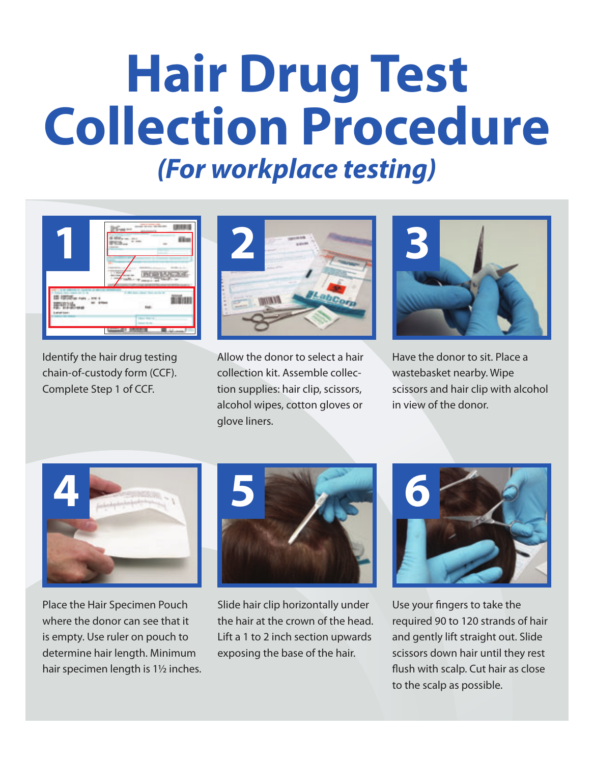## **Hair Drug Test Collection Procedure** *(For workplace testing)*



Identify the hair drug testing chain-of-custody form (CCF). Complete Step 1 of CCF.



Allow the donor to select a hair collection kit. Assemble collection supplies: hair clip, scissors, alcohol wipes, cotton gloves or glove liners.



Have the donor to sit. Place a wastebasket nearby. Wipe scissors and hair clip with alcohol in view of the donor.



Place the Hair Specimen Pouch where the donor can see that it is empty. Use ruler on pouch to determine hair length. Minimum hair specimen length is 1½ inches.



Slide hair clip horizontally under the hair at the crown of the head. Lift a 1 to 2 inch section upwards exposing the base of the hair.



Use your fingers to take the required 90 to 120 strands of hair and gently lift straight out. Slide scissors down hair until they rest flush with scalp. Cut hair as close to the scalp as possible.